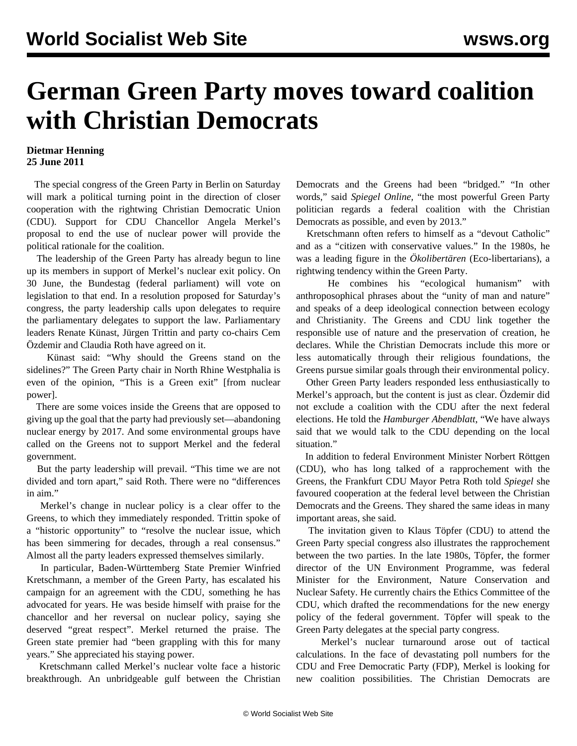## **German Green Party moves toward coalition with Christian Democrats**

## **Dietmar Henning 25 June 2011**

 The special congress of the Green Party in Berlin on Saturday will mark a political turning point in the direction of closer cooperation with the rightwing Christian Democratic Union (CDU). Support for CDU Chancellor Angela Merkel's proposal to end the use of nuclear power will provide the political rationale for the coalition.

 The leadership of the Green Party has already begun to line up its members in support of Merkel's nuclear exit policy. On 30 June, the Bundestag (federal parliament) will vote on legislation to that end. In a resolution proposed for Saturday's congress, the party leadership calls upon delegates to require the parliamentary delegates to support the law. Parliamentary leaders Renate Künast, Jürgen Trittin and party co-chairs Cem Özdemir and Claudia Roth have agreed on it.

 Künast said: "Why should the Greens stand on the sidelines?" The Green Party chair in North Rhine Westphalia is even of the opinion, "This is a Green exit" [from nuclear power].

 There are some voices inside the Greens that are opposed to giving up the goal that the party had previously set—abandoning nuclear energy by 2017. And some environmental groups have called on the Greens not to support Merkel and the federal government.

 But the party leadership will prevail. "This time we are not divided and torn apart," said Roth. There were no "differences in aim."

 Merkel's change in nuclear policy is a clear offer to the Greens, to which they immediately responded. Trittin spoke of a "historic opportunity" to "resolve the nuclear issue, which has been simmering for decades, through a real consensus." Almost all the party leaders expressed themselves similarly.

 In particular, Baden-Württemberg State Premier Winfried Kretschmann, a member of the Green Party, has escalated his campaign for an agreement with the CDU, something he has advocated for years. He was beside himself with praise for the chancellor and her reversal on nuclear policy, saying she deserved "great respect". Merkel returned the praise. The Green state premier had "been grappling with this for many years." She appreciated his staying power.

 Kretschmann called Merkel's nuclear volte face a historic breakthrough. An unbridgeable gulf between the Christian Democrats and the Greens had been "bridged." "In other words," said *Spiegel Online,* "the most powerful Green Party politician regards a federal coalition with the Christian Democrats as possible, and even by 2013."

 Kretschmann often refers to himself as a "devout Catholic" and as a "citizen with conservative values." In the 1980s, he was a leading figure in the *Ökolibertären* (Eco-libertarians), a rightwing tendency within the Green Party.

 He combines his "ecological humanism" with anthroposophical phrases about the "unity of man and nature" and speaks of a deep ideological connection between ecology and Christianity. The Greens and CDU link together the responsible use of nature and the preservation of creation, he declares. While the Christian Democrats include this more or less automatically through their religious foundations, the Greens pursue similar goals through their environmental policy.

 Other Green Party leaders responded less enthusiastically to Merkel's approach, but the content is just as clear. Özdemir did not exclude a coalition with the CDU after the next federal elections. He told the *Hamburger Abendblatt*, "We have always said that we would talk to the CDU depending on the local situation."

 In addition to federal Environment Minister Norbert Röttgen (CDU), who has long talked of a rapprochement with the Greens, the Frankfurt CDU Mayor Petra Roth told *Spiegel* she favoured cooperation at the federal level between the Christian Democrats and the Greens. They shared the same ideas in many important areas, she said.

 The invitation given to Klaus Töpfer (CDU) to attend the Green Party special congress also illustrates the rapprochement between the two parties. In the late 1980s, Töpfer, the former director of the UN Environment Programme, was federal Minister for the Environment, Nature Conservation and Nuclear Safety. He currently chairs the Ethics Committee of the CDU, which drafted the recommendations for the new energy policy of the federal government. Töpfer will speak to the Green Party delegates at the special party congress.

 Merkel's nuclear turnaround arose out of tactical calculations. In the face of devastating poll numbers for the CDU and Free Democratic Party (FDP), Merkel is looking for new coalition possibilities. The Christian Democrats are